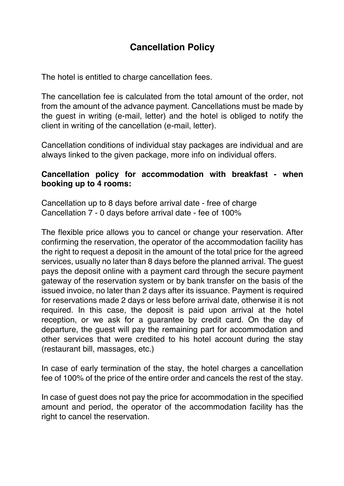## **Cancellation Policy**

The hotel is entitled to charge cancellation fees.

The cancellation fee is calculated from the total amount of the order, not from the amount of the advance payment. Cancellations must be made by the guest in writing (e-mail, letter) and the hotel is obliged to notify the client in writing of the cancellation (e-mail, letter).

Cancellation conditions of individual stay packages are individual and are always linked to the given package, more info on individual offers.

## **Cancellation policy for accommodation with breakfast - when booking up to 4 rooms:**

Cancellation up to 8 days before arrival date - free of charge Cancellation 7 - 0 days before arrival date - fee of 100%

The flexible price allows you to cancel or change your reservation. After confirming the reservation, the operator of the accommodation facility has the right to request a deposit in the amount of the total price for the agreed services, usually no later than 8 days before the planned arrival. The guest pays the deposit online with a payment card through the secure payment gateway of the reservation system or by bank transfer on the basis of the issued invoice, no later than 2 days after its issuance. Payment is required for reservations made 2 days or less before arrival date, otherwise it is not required. In this case, the deposit is paid upon arrival at the hotel reception, or we ask for a guarantee by credit card. On the day of departure, the guest will pay the remaining part for accommodation and other services that were credited to his hotel account during the stay (restaurant bill, massages, etc.)

In case of early termination of the stay, the hotel charges a cancellation fee of 100% of the price of the entire order and cancels the rest of the stay.

In case of guest does not pay the price for accommodation in the specified amount and period, the operator of the accommodation facility has the right to cancel the reservation.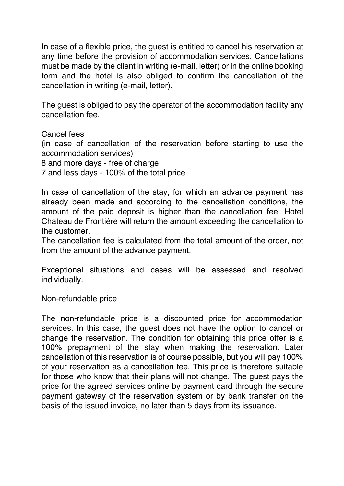In case of a flexible price, the guest is entitled to cancel his reservation at any time before the provision of accommodation services. Cancellations must be made by the client in writing (e-mail, letter) or in the online booking form and the hotel is also obliged to confirm the cancellation of the cancellation in writing (e-mail, letter).

The guest is obliged to pay the operator of the accommodation facility any cancellation fee.

Cancel fees (in case of cancellation of the reservation before starting to use the accommodation services) 8 and more days - free of charge 7 and less days - 100% of the total price

In case of cancellation of the stay, for which an advance payment has already been made and according to the cancellation conditions, the amount of the paid deposit is higher than the cancellation fee, Hotel Chateau de Frontiére will return the amount exceeding the cancellation to the customer.

The cancellation fee is calculated from the total amount of the order, not from the amount of the advance payment.

Exceptional situations and cases will be assessed and resolved individually.

Non-refundable price

The non-refundable price is a discounted price for accommodation services. In this case, the guest does not have the option to cancel or change the reservation. The condition for obtaining this price offer is a 100% prepayment of the stay when making the reservation. Later cancellation of this reservation is of course possible, but you will pay 100% of your reservation as a cancellation fee. This price is therefore suitable for those who know that their plans will not change. The guest pays the price for the agreed services online by payment card through the secure payment gateway of the reservation system or by bank transfer on the basis of the issued invoice, no later than 5 days from its issuance.